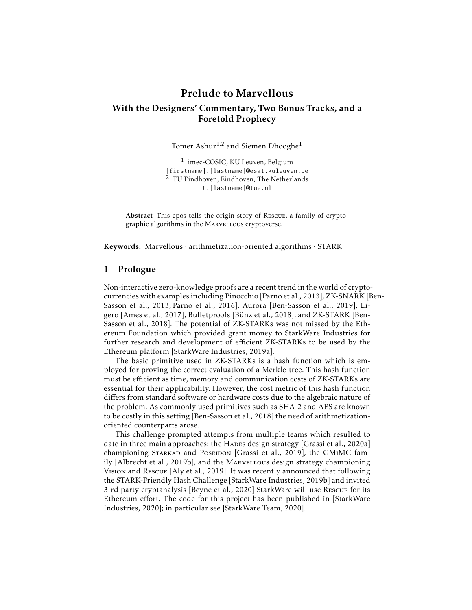# Prelude to Marvellous With the Designers' Commentary, Two Bonus Tracks, and a Foretold Prophecy

Tomer Ashur<sup>1,2</sup> and Siemen Dhooghe<sup>1</sup>

<sup>1</sup> imec-COSIC, KU Leuven, Belgium [firstname].[lastname]@esat.kuleuven.be <sup>2</sup> TU Eindhoven, Eindhoven, The Netherlands t.[lastname]@tue.nl

Abstract This epos tells the origin story of Rescue, a family of cryptographic algorithms in the MARVELLOUS cryptoverse.

Keywords: Marvellous · arithmetization-oriented algorithms · STARK

## 1 Prologue

Non-interactive zero-knowledge proofs are a recent trend in the world of cryptocurrencies with examples including Pinocchio [Parno et al., 2013], ZK-SNARK [Ben-Sasson et al., 2013, Parno et al., 2016], Aurora [Ben-Sasson et al., 2019], Ligero [Ames et al., 2017], Bulletproofs [Bünz et al., 2018], and ZK-STARK [Ben-Sasson et al., 2018]. The potential of ZK-STARKs was not missed by the Ethereum Foundation which provided grant money to StarkWare Industries for further research and development of efficient ZK-STARKs to be used by the Ethereum platform [StarkWare Industries, 2019a].

The basic primitive used in ZK-STARKs is a hash function which is employed for proving the correct evaluation of a Merkle-tree. This hash function must be efficient as time, memory and communication costs of ZK-STARKs are essential for their applicability. However, the cost metric of this hash function differs from standard software or hardware costs due to the algebraic nature of the problem. As commonly used primitives such as SHA-2 and AES are known to be costly in this setting [Ben-Sasson et al., 2018] the need of arithmetizationoriented counterparts arose.

This challenge prompted attempts from multiple teams which resulted to date in three main approaches: the HADES design strategy [Grassi et al., 2020a] championing STARKAD and PoseIDON [Grassi et al., 2019], the GMIMC family [Albrecht et al., 2019b], and the MARVELLOUS design strategy championing Vision and Rescue [Aly et al., 2019]. It was recently announced that following the STARK-Friendly Hash Challenge [StarkWare Industries, 2019b] and invited 3-rd party cryptanalysis [Beyne et al., 2020] StarkWare will use Rescue for its Ethereum effort. The code for this project has been published in [StarkWare Industries, 2020]; in particular see [StarkWare Team, 2020].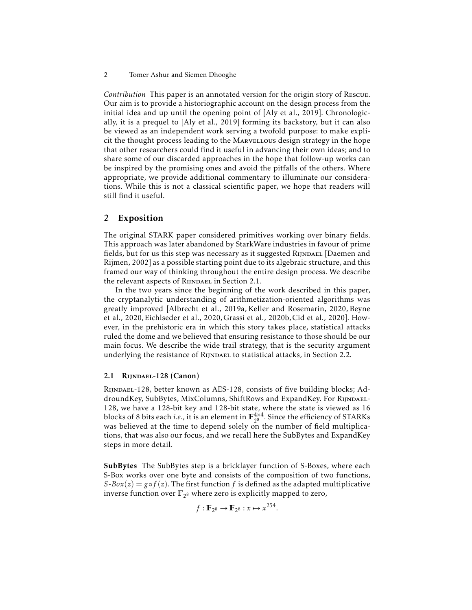*Contribution* This paper is an annotated version for the origin story of Rescue. Our aim is to provide a historiographic account on the design process from the initial idea and up until the opening point of [Aly et al., 2019]. Chronologically, it is a prequel to [Aly et al., 2019] forming its backstory, but it can also be viewed as an independent work serving a twofold purpose: to make explicit the thought process leading to the Marvellous design strategy in the hope that other researchers could find it useful in advancing their own ideas; and to share some of our discarded approaches in the hope that follow-up works can be inspired by the promising ones and avoid the pitfalls of the others. Where appropriate, we provide additional commentary to illuminate our considerations. While this is not a classical scientific paper, we hope that readers will still find it useful.

## 2 Exposition

The original STARK paper considered primitives working over binary fields. This approach was later abandoned by StarkWare industries in favour of prime fields, but for us this step was necessary as it suggested RIJNDAEL [Daemen and Rijmen, 2002] as a possible starting point due to its algebraic structure, and this framed our way of thinking throughout the entire design process. We describe the relevant aspects of RIJNDAEL in Section 2.1.

In the two years since the beginning of the work described in this paper, the cryptanalytic understanding of arithmetization-oriented algorithms was greatly improved [Albrecht et al., 2019a, Keller and Rosemarin, 2020, Beyne et al., 2020, Eichlseder et al., 2020, Grassi et al., 2020b, Cid et al., 2020]. However, in the prehistoric era in which this story takes place, statistical attacks ruled the dome and we believed that ensuring resistance to those should be our main focus. We describe the wide trail strategy, that is the security argument underlying the resistance of RIJNDAEL to statistical attacks, in Section 2.2.

## 2.1 Rijndael-128 (Canon)

Rijndael-128, better known as AES-128, consists of five building blocks; AddroundKey, SubBytes, MixColumns, ShiftRows and ExpandKey. For RIJNDAEL-128, we have a 128-bit key and 128-bit state, where the state is viewed as 16 blocks of 8 bits each *i.e.*, it is an element in  $\mathbb{F}_{28}^{4 \times 4}$  $2^{8 \times 4}$ . Since the efficiency of STARKs was believed at the time to depend solely on the number of field multiplications, that was also our focus, and we recall here the SubBytes and ExpandKey steps in more detail.

SubBytes The SubBytes step is a bricklayer function of S-Boxes, where each S-Box works over one byte and consists of the composition of two functions, *S*-*Box*(*z*) = *g*◦*f*(*z*). The first function *f* is defined as the adapted multiplicative inverse function over  $\mathbb{F}_{2^8}$  where zero is explicitly mapped to zero,

$$
f: \mathbb{F}_{2^8} \to \mathbb{F}_{2^8} : x \mapsto x^{254}.
$$

<sup>2</sup> Tomer Ashur and Siemen Dhooghe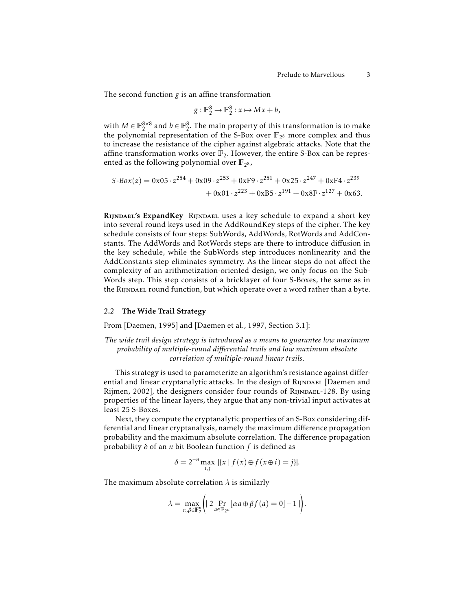The second function *g* is an affine transformation

$$
g: \mathbb{F}_2^8 \to \mathbb{F}_2^8 : x \mapsto Mx + b,
$$

with  $M \in \mathbb{F}_2^{8 \times 8}$  and  $b \in \mathbb{F}_2^8$ . The main property of this transformation is to make the polynomial representation of the S-Box over **F**<sup>2</sup> <sup>8</sup> more complex and thus to increase the resistance of the cipher against algebraic attacks. Note that the affine transformation works over  $\mathbb{F}_2$ . However, the entire S-Box can be represented as the following polynomial over  $\mathbb{F}_{2^8}$ ,

$$
S-Box(z) = 0x05 \cdot z^{254} + 0x09 \cdot z^{253} + 0xF9 \cdot z^{251} + 0x25 \cdot z^{247} + 0xF4 \cdot z^{239}
$$
  
+ 0x01 \cdot z^{223} + 0xB5 \cdot z^{191} + 0x8F \cdot z^{127} + 0x63.

Rijndael's ExpandKey Rijndael uses a key schedule to expand a short key into several round keys used in the AddRoundKey steps of the cipher. The key schedule consists of four steps: SubWords, AddWords, RotWords and AddConstants. The AddWords and RotWords steps are there to introduce diffusion in the key schedule, while the SubWords step introduces nonlinearity and the AddConstants step eliminates symmetry. As the linear steps do not affect the complexity of an arithmetization-oriented design, we only focus on the Sub-Words step. This step consists of a bricklayer of four S-Boxes, the same as in the RIJNDAEL round function, but which operate over a word rather than a byte.

### 2.2 The Wide Trail Strategy

From [Daemen, 1995] and [Daemen et al., 1997, Section 3.1]:

*The wide trail design strategy is introduced as a means to guarantee low maximum probability of multiple-round differential trails and low maximum absolute correlation of multiple-round linear trails.*

This strategy is used to parameterize an algorithm's resistance against differential and linear cryptanalytic attacks. In the design of RIJNDAEL [Daemen and Rijmen, 2002], the designers consider four rounds of RIJNDAEL-128. By using properties of the linear layers, they argue that any non-trivial input activates at least 25 S-Boxes.

Next, they compute the cryptanalytic properties of an S-Box considering differential and linear cryptanalysis, namely the maximum difference propagation probability and the maximum absolute correlation. The difference propagation probability *δ* of an *n* bit Boolean function *f* is defined as

$$
\delta = 2^{-n} \max_{i,j} |\{x \mid f(x) \oplus f(x \oplus i) = j\}|.
$$

The maximum absolute correlation *λ* is similarly

$$
\lambda = \max_{\alpha, \beta \in \mathbb{F}_2^n} \left( \left| 2 \Pr_{a \in \mathbb{F}_{2^n}} \left[ \alpha a \oplus \beta f(a) = 0 \right] - 1 \right| \right).
$$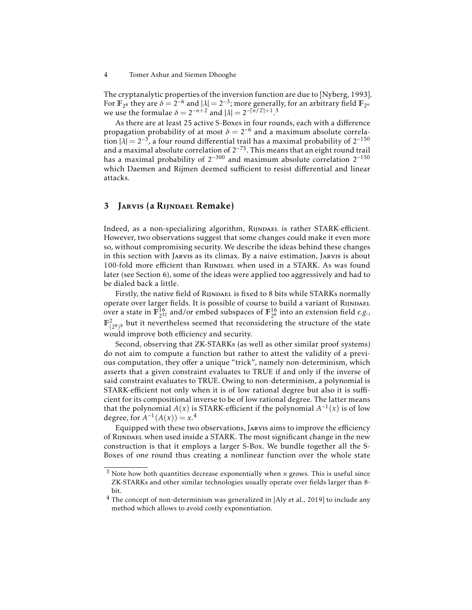The cryptanalytic properties of the inversion function are due to [Nyberg, 1993]. For  $\mathbb{F}_{2^8}$  they are  $\delta = 2^{-6}$  and  $|\lambda| = 2^{-3}$ ; more generally, for an arbitrary field  $\mathbb{F}_{2^n}$ we use the formulae  $\delta = 2^{-n+2}$  and  $|\lambda| = 2^{-\lceil n/2 \rceil + 1}$ .<sup>3</sup>

As there are at least 25 active S-Boxes in four rounds, each with a difference propagation probability of at most  $\delta = 2^{-6}$  and a maximum absolute correla- $\lim_{\lambda \to 0} |\lambda| = 2^{-3}$ , a four round differential trail has a maximal probability of  $2^{-150}$ and a maximal absolute correlation of  $2^{-75}$ . This means that an eight round trail has a maximal probability of 2−<sup>300</sup> and maximum absolute correlation 2−<sup>150</sup> which Daemen and Rijmen deemed sufficient to resist differential and linear attacks.

## 3 Jarvis (a Rijndael Remake)

Indeed, as a non-specializing algorithm, RIJNDAEL is rather STARK-efficient. However, two observations suggest that some changes could make it even more so, without compromising security. We describe the ideas behind these changes in this section with Jarvis as its climax. By a naive estimation, Jarvis is about 100-fold more efficient than RIJNDAEL when used in a STARK. As was found later (see Section 6), some of the ideas were applied too aggressively and had to be dialed back a little.

Firstly, the native field of RIJNDAEL is fixed to 8 bits while STARKs normally operate over larger fields. It is possible of course to build a variant of RIJNDAEL over a state in  $\mathbb{F}_{2^3}^{16}$  $^{16}_{2^{32}}$  and/or embed subspaces of  $\mathbb{F}_{2^8}^{16}$  $_{2^8}^{16}$  into an extension field *e.g.*,  $\mathbb{F}_{(2^8)^8}^2$  but it nevertheless seemed that reconsidering the structure of the state would improve both efficiency and security.

Second, observing that ZK-STARKs (as well as other similar proof systems) do not aim to compute a function but rather to attest the validity of a previous computation, they offer a unique "trick", namely non-determinism, which asserts that a given constraint evaluates to TRUE if and only if the inverse of said constraint evaluates to TRUE. Owing to non-determinism, a polynomial is STARK-efficient not only when it is of low rational degree but also it is sufficient for its compositional inverse to be of low rational degree. The latter means that the polynomial  $A(x)$  is STARK-efficient if the polynomial  $A^{-1}(x)$  is of low degree, for  $A^{-1}(A(x)) = x^{4}$ .

Equipped with these two observations, Jarvis aims to improve the efficiency of Rijndael when used inside a STARK. The most significant change in the new construction is that it employs a larger S-Box. We bundle together all the S-Boxes of one round thus creating a nonlinear function over the whole state

<sup>4</sup> Tomer Ashur and Siemen Dhooghe

<sup>3</sup> Note how both quantities decrease exponentially when *n* grows. This is useful since ZK-STARKs and other similar technologies usually operate over fields larger than 8 bit.

<sup>4</sup> The concept of non-determinism was generalized in [Aly et al., 2019] to include any method which allows to avoid costly exponentiation.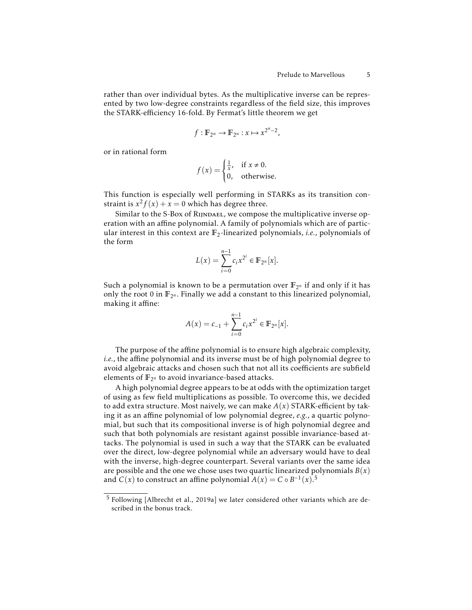rather than over individual bytes. As the multiplicative inverse can be represented by two low-degree constraints regardless of the field size, this improves the STARK-efficiency 16-fold. By Fermat's little theorem we get

$$
f: \mathbb{F}_{2^n} \to \mathbb{F}_{2^n}: x \mapsto x^{2^n-2},
$$

or in rational form

$$
f(x) = \begin{cases} \frac{1}{x}, & \text{if } x \neq 0, \\ 0, & \text{otherwise.} \end{cases}
$$

This function is especially well performing in STARKs as its transition constraint is  $x^2 f(x) + x = 0$  which has degree three.

Similar to the S-Box of RIJNDAEL, we compose the multiplicative inverse operation with an affine polynomial. A family of polynomials which are of particular interest in this context are  $\mathbb{F}_2$ -linearized polynomials, *i.e.*, polynomials of the form

$$
L(x) = \sum_{i=0}^{n-1} c_i x^{2^i} \in \mathbb{F}_{2^n}[x].
$$

Such a polynomial is known to be a permutation over  $\mathbb{F}_{2^n}$  if and only if it has only the root 0 in  $\mathbb{F}_{2^n}$ . Finally we add a constant to this linearized polynomial, making it affine:

$$
A(x) = c_{-1} + \sum_{i=0}^{n-1} c_i x^{2^i} \in \mathbb{F}_{2^n}[x].
$$

The purpose of the affine polynomial is to ensure high algebraic complexity, *i.e.*, the affine polynomial and its inverse must be of high polynomial degree to avoid algebraic attacks and chosen such that not all its coefficients are subfield elements of  $\mathbb{F}_{2^n}$  to avoid invariance-based attacks.

A high polynomial degree appears to be at odds with the optimization target of using as few field multiplications as possible. To overcome this, we decided to add extra structure. Most naively, we can make  $A(x)$  STARK-efficient by taking it as an affine polynomial of low polynomial degree, *e.g.*, a quartic polynomial, but such that its compositional inverse is of high polynomial degree and such that both polynomials are resistant against possible invariance-based attacks. The polynomial is used in such a way that the STARK can be evaluated over the direct, low-degree polynomial while an adversary would have to deal with the inverse, high-degree counterpart. Several variants over the same idea are possible and the one we chose uses two quartic linearized polynomials  $B(x)$ and  $C(x)$  to construct an affine polynomial  $A(x) = C \circ B^{-1}(x)$ .<sup>5</sup>

<sup>5</sup> Following [Albrecht et al., 2019a] we later considered other variants which are described in the bonus track.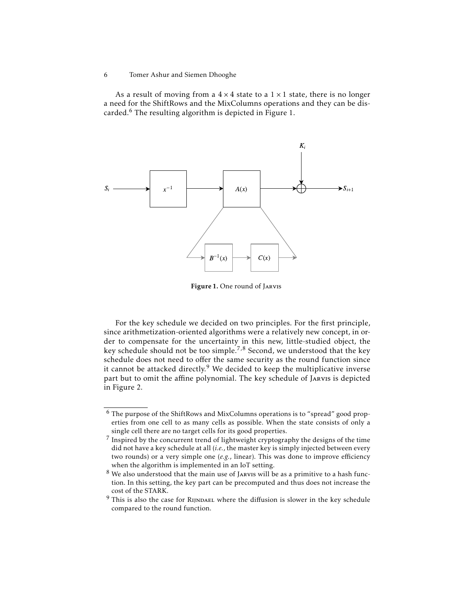As a result of moving from a  $4 \times 4$  state to a  $1 \times 1$  state, there is no longer a need for the ShiftRows and the MixColumns operations and they can be discarded.<sup>6</sup> The resulting algorithm is depicted in Figure 1.



Figure 1. One round of Jarvis

For the key schedule we decided on two principles. For the first principle, since arithmetization-oriented algorithms were a relatively new concept, in order to compensate for the uncertainty in this new, little-studied object, the key schedule should not be too simple.<sup>7,8</sup> Second, we understood that the key schedule does not need to offer the same security as the round function since it cannot be attacked directly. $9$  We decided to keep the multiplicative inverse part but to omit the affine polynomial. The key schedule of JARVIS is depicted in Figure 2.

<sup>6</sup> Tomer Ashur and Siemen Dhooghe

<sup>6</sup> The purpose of the ShiftRows and MixColumns operations is to "spread" good properties from one cell to as many cells as possible. When the state consists of only a single cell there are no target cells for its good properties.

 $^7$  Inspired by the concurrent trend of lightweight cryptography the designs of the time did not have a key schedule at all (*i.e.*, the master key is simply injected between every two rounds) or a very simple one (*e.g.*, linear). This was done to improve efficiency when the algorithm is implemented in an IoT setting.

<sup>&</sup>lt;sup>8</sup> We also understood that the main use of JARVIS will be as a primitive to a hash function. In this setting, the key part can be precomputed and thus does not increase the cost of the STARK.

 $9$  This is also the case for RIJNDAEL where the diffusion is slower in the key schedule compared to the round function.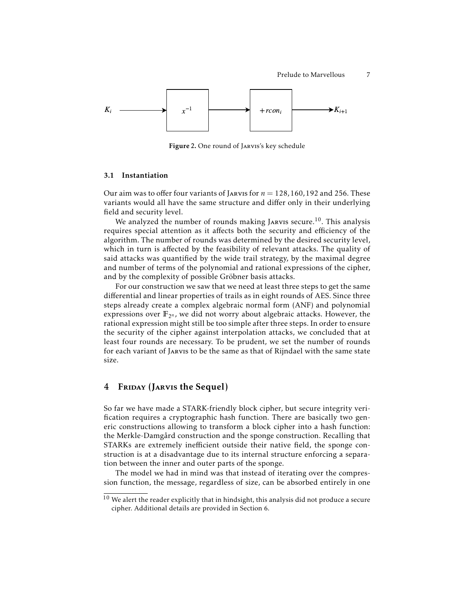

Figure 2. One round of Jarvis's key schedule

### 3.1 Instantiation

Our aim was to offer four variants of Janus for  $n = 128, 160, 192$  and 256. These variants would all have the same structure and differ only in their underlying field and security level.

We analyzed the number of rounds making JARVIS secure.<sup>10</sup>. This analysis requires special attention as it affects both the security and efficiency of the algorithm. The number of rounds was determined by the desired security level, which in turn is affected by the feasibility of relevant attacks. The quality of said attacks was quantified by the wide trail strategy, by the maximal degree and number of terms of the polynomial and rational expressions of the cipher, and by the complexity of possible Gröbner basis attacks.

For our construction we saw that we need at least three steps to get the same differential and linear properties of trails as in eight rounds of AES. Since three steps already create a complex algebraic normal form (ANF) and polynomial expressions over  $\mathbb{F}_{2^n}$ , we did not worry about algebraic attacks. However, the rational expression might still be too simple after three steps. In order to ensure the security of the cipher against interpolation attacks, we concluded that at least four rounds are necessary. To be prudent, we set the number of rounds for each variant of Jarvis to be the same as that of Rijndael with the same state size.

## 4 FRIDAY (JARVIS the Sequel)

So far we have made a STARK-friendly block cipher, but secure integrity verification requires a cryptographic hash function. There are basically two generic constructions allowing to transform a block cipher into a hash function: the Merkle-Damgård construction and the sponge construction. Recalling that STARKs are extremely inefficient outside their native field, the sponge construction is at a disadvantage due to its internal structure enforcing a separation between the inner and outer parts of the sponge.

The model we had in mind was that instead of iterating over the compression function, the message, regardless of size, can be absorbed entirely in one

 $^{10}$  We alert the reader explicitly that in hindsight, this analysis did not produce a secure cipher. Additional details are provided in Section 6.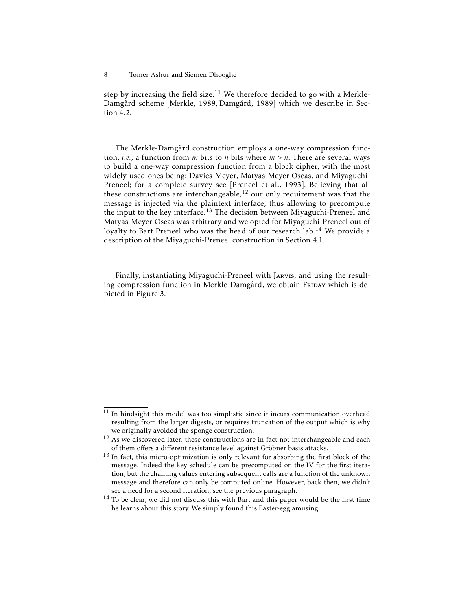step by increasing the field size.<sup>11</sup> We therefore decided to go with a Merkle-Damgård scheme [Merkle, 1989, Damgård, 1989] which we describe in Section 4.2.

The Merkle-Damgård construction employs a one-way compression function, *i.e.*, a function from *m* bits to *n* bits where *m > n*. There are several ways to build a one-way compression function from a block cipher, with the most widely used ones being: Davies-Meyer, Matyas-Meyer-Oseas, and Miyaguchi-Preneel; for a complete survey see [Preneel et al., 1993]. Believing that all these constructions are interchangeable, $12$  our only requirement was that the message is injected via the plaintext interface, thus allowing to precompute the input to the key interface.<sup>13</sup> The decision between Miyaguchi-Preneel and Matyas-Meyer-Oseas was arbitrary and we opted for Miyaguchi-Preneel out of loyalty to Bart Preneel who was the head of our research lab.<sup>14</sup> We provide a description of the Miyaguchi-Preneel construction in Section 4.1.

Finally, instantiating Miyaguchi-Preneel with Jarvis, and using the resulting compression function in Merkle-Damgård, we obtain FRIDAY which is depicted in Figure 3.

<sup>8</sup> Tomer Ashur and Siemen Dhooghe

 $11$  In hindsight this model was too simplistic since it incurs communication overhead resulting from the larger digests, or requires truncation of the output which is why we originally avoided the sponge construction.

 $12$  As we discovered later, these constructions are in fact not interchangeable and each of them offers a different resistance level against Gröbner basis attacks.

<sup>&</sup>lt;sup>13</sup> In fact, this micro-optimization is only relevant for absorbing the first block of the message. Indeed the key schedule can be precomputed on the IV for the first iteration, but the chaining values entering subsequent calls are a function of the unknown message and therefore can only be computed online. However, back then, we didn't see a need for a second iteration, see the previous paragraph.

 $14$  To be clear, we did not discuss this with Bart and this paper would be the first time he learns about this story. We simply found this Easter-egg amusing.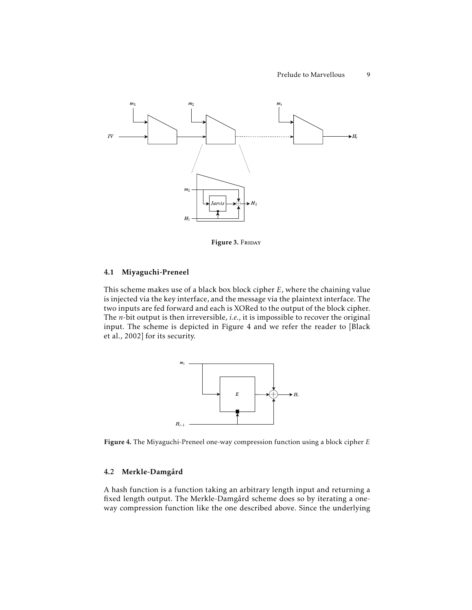

Figure 3. FRIDAY

### 4.1 Miyaguchi-Preneel

This scheme makes use of a black box block cipher *E*, where the chaining value is injected via the key interface, and the message via the plaintext interface. The two inputs are fed forward and each is XORed to the output of the block cipher. The *n*-bit output is then irreversible, *i.e.*, it is impossible to recover the original input. The scheme is depicted in Figure 4 and we refer the reader to [Black et al., 2002] for its security.



Figure 4. The Miyaguchi-Preneel one-way compression function using a block cipher *E*

### 4.2 Merkle-Damgård

A hash function is a function taking an arbitrary length input and returning a fixed length output. The Merkle-Damgård scheme does so by iterating a oneway compression function like the one described above. Since the underlying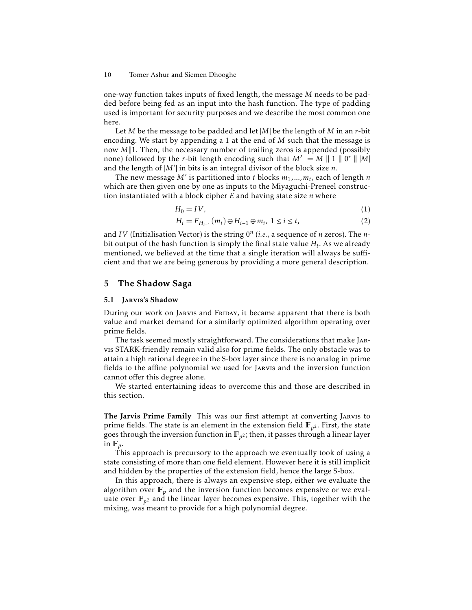one-way function takes inputs of fixed length, the message *M* needs to be padded before being fed as an input into the hash function. The type of padding used is important for security purposes and we describe the most common one here.

Let *M* be the message to be padded and let |*M*| be the length of *M* in an *r*-bit encoding. We start by appending a 1 at the end of *M* such that the message is now *M*||1. Then, the necessary number of trailing zeros is appended (possibly none) followed by the *r*-bit length encoding such that  $M' = M || 1 || 0^* || 1/M$ and the length of  $|M'|$  in bits is an integral divisor of the block size *n*.

The new message M' is partitioned into *t* blocks  $m_1$ ,..., $m_t$ , each of length  $n$ which are then given one by one as inputs to the Miyaguchi-Preneel construction instantiated with a block cipher *E* and having state size *n* where

$$
H_0 = IV,\t\t(1)
$$

$$
H_i = E_{H_{i-1}}(m_i) \oplus H_{i-1} \oplus m_i, \ 1 \le i \le t,
$$
 (2)

and *IV* (Initialisation Vector) is the string 0*<sup>n</sup>* (*i.e.*, a sequence of *n* zeros). The *n*bit output of the hash function is simply the final state value *H<sup>t</sup>* . As we already mentioned, we believed at the time that a single iteration will always be sufficient and that we are being generous by providing a more general description.

## 5 The Shadow Saga

### 5.1 Jarvis's Shadow

During our work on JARVIS and FRIDAY, it became apparent that there is both value and market demand for a similarly optimized algorithm operating over prime fields.

The task seemed mostly straightforward. The considerations that make Jarvis STARK-friendly remain valid also for prime fields. The only obstacle was to attain a high rational degree in the S-box layer since there is no analog in prime fields to the affine polynomial we used for Jarvis and the inversion function cannot offer this degree alone.

We started entertaining ideas to overcome this and those are described in this section.

The Jarvis Prime Family This was our first attempt at converting Jarvis to prime fields. The state is an element in the extension field **F***<sup>p</sup>* <sup>2</sup> . First, the state goes through the inversion function in  $\mathbb{F}_{p^2}$ ; then, it passes through a linear layer in  $\mathbb{F}_p$ .

This approach is precursory to the approach we eventually took of using a state consisting of more than one field element. However here it is still implicit and hidden by the properties of the extension field, hence the large S-box.

In this approach, there is always an expensive step, either we evaluate the algorithm over  $\mathbb{F}_p$  and the inversion function becomes expensive or we evaluate over  $\mathbb{F}_{p^2}$  and the linear layer becomes expensive. This, together with the mixing, was meant to provide for a high polynomial degree.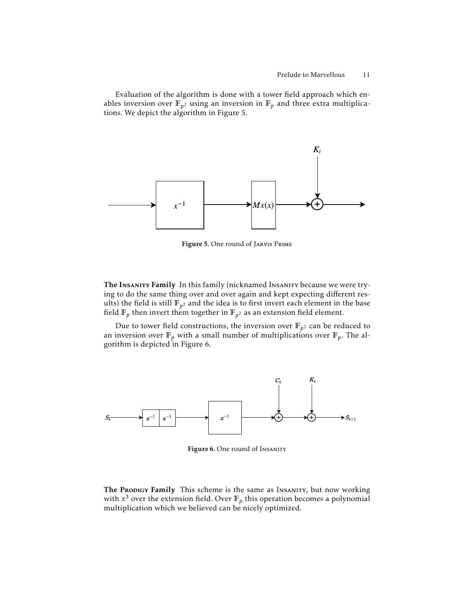Evaluation of the algorithm is done with a tower field approach which enables inversion over  $\mathbb{F}_{p^2}$  using an inversion in  $\mathbb{F}_p$  and three extra multiplications. We depict the algorithm in Figure 5.



Figure 5. One round of Jarvis Prime

The INSANITY Family In this family (nicknamed INSANITY because we were trying to do the same thing over and over again and kept expecting different results) the field is still  $\mathbb{F}_{p^2}$  and the idea is to first invert each element in the base field  $\mathbb{F}_p$  then invert them together in  $\mathbb{F}_{p^2}$  as an extension field element.

Due to tower field constructions, the inversion over  $\mathbb{F}_{p^2}$  can be reduced to an inversion over  $\mathbb{F}_p$  with a small number of multiplications over  $\mathbb{F}_p$ . The algorithm is depicted in Figure 6.



Figure 6. One round of Insanity

The Propigy Family This scheme is the same as Insanity, but now working with  $x^3$  over the extension field. Over  $\mathbb{F}_p$  this operation becomes a polynomial multiplication which we believed can be nicely optimized.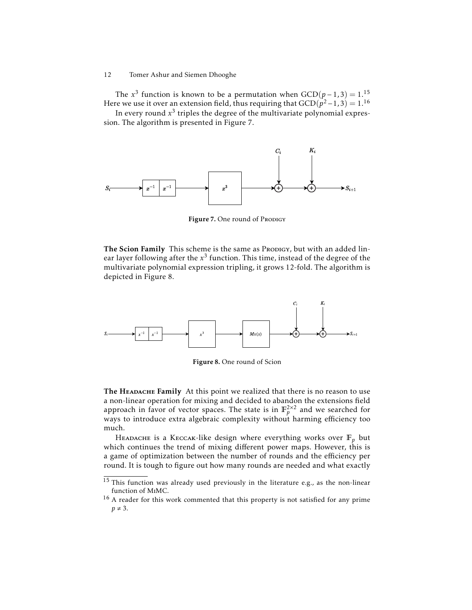The  $x^3$  function is known to be a permutation when  $GCD(p-1,3) = 1.^{15}$ Here we use it over an extension field, thus requiring that  $\mathrm{GCD}(\bar{p}^2\!-\!1,3)=1.^{16}$ 

In every round  $x^3$  triples the degree of the multivariate polynomial expression. The algorithm is presented in Figure 7.



Figure 7. One round of Prodigy

The Scion Family This scheme is the same as Prodigy, but with an added linear layer following after the  $x^3$  function. This time, instead of the degree of the multivariate polynomial expression tripling, it grows 12-fold. The algorithm is depicted in Figure 8.



Figure 8. One round of Scion

The HEADACHE Family At this point we realized that there is no reason to use a non-linear operation for mixing and decided to abandon the extensions field approach in favor of vector spaces. The state is in  $\mathbb{F}_p^{2\times 2}$  and we searched for ways to introduce extra algebraic complexity without harming efficiency too much.

HEADACHE is a KECCAK-like design where everything works over  $\mathbb{F}_p$  but which continues the trend of mixing different power maps. However, this is a game of optimization between the number of rounds and the efficiency per round. It is tough to figure out how many rounds are needed and what exactly

<sup>&</sup>lt;sup>15</sup> This function was already used previously in the literature e.g., as the non-linear function of MiMC.

<sup>&</sup>lt;sup>16</sup> A reader for this work commented that this property is not satisfied for any prime  $p \neq 3$ .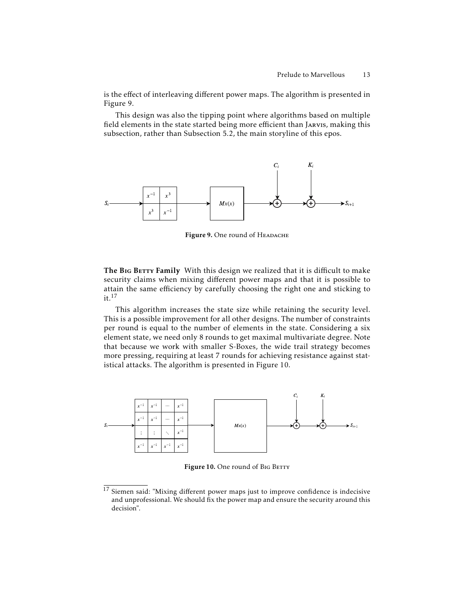is the effect of interleaving different power maps. The algorithm is presented in Figure 9.

This design was also the tipping point where algorithms based on multiple field elements in the state started being more efficient than Jarvis, making this subsection, rather than Subsection 5.2, the main storyline of this epos.



Figure 9. One round of HEADACHE

The BIG BETTY Family With this design we realized that it is difficult to make security claims when mixing different power maps and that it is possible to attain the same efficiency by carefully choosing the right one and sticking to  $it.<sup>17</sup>$ 

This algorithm increases the state size while retaining the security level. This is a possible improvement for all other designs. The number of constraints per round is equal to the number of elements in the state. Considering a six element state, we need only 8 rounds to get maximal multivariate degree. Note that because we work with smaller S-Boxes, the wide trail strategy becomes more pressing, requiring at least 7 rounds for achieving resistance against statistical attacks. The algorithm is presented in Figure 10.



Figure 10. One round of BIG BETTY

<sup>&</sup>lt;sup>17</sup> Siemen said: "Mixing different power maps just to improve confidence is indecisive and unprofessional. We should fix the power map and ensure the security around this decision".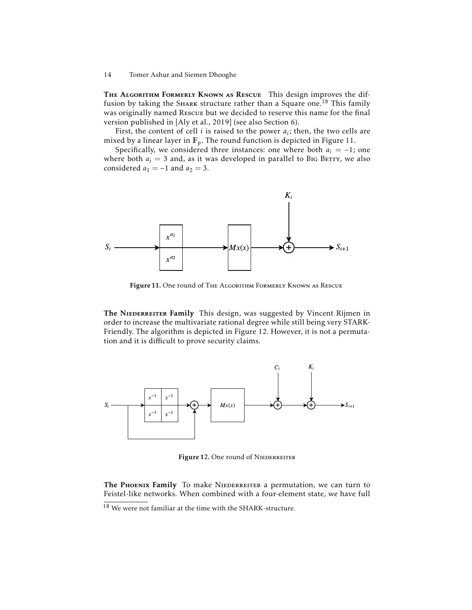THE ALGORITHM FORMERLY KNOWN AS RESCUE This design improves the diffusion by taking the SHARK structure rather than a Square one.<sup>18</sup> This family was originally named Rescue but we decided to reserve this name for the final version published in [Aly et al., 2019] (see also Section 6).

First, the content of cell *i* is raised to the power  $a_i$ ; then, the two cells are mixed by a linear layer in **F***p*. The round function is depicted in Figure 11.

Specifically, we considered three instances: one where both  $a_i = -1$ ; one where both  $a_i = 3$  and, as it was developed in parallel to BIG BETTY, we also considered  $a_1 = -1$  and  $a_2 = 3$ .



Figure 11. One round of The Algorithm Formerly Known as Rescue

The NIEDERREITER Family This design, was suggested by Vincent Rijmen in order to increase the multivariate rational degree while still being very STARK-Friendly. The algorithm is depicted in Figure 12. However, it is not a permutation and it is difficult to prove security claims.



Figure 12. One round of NIEDERREITER

The PHOENIX Family To make NIEDERREITER a permutation, we can turn to Feistel-like networks. When combined with a four-element state, we have full

 $18$  We were not familiar at the time with the SHARK-structure.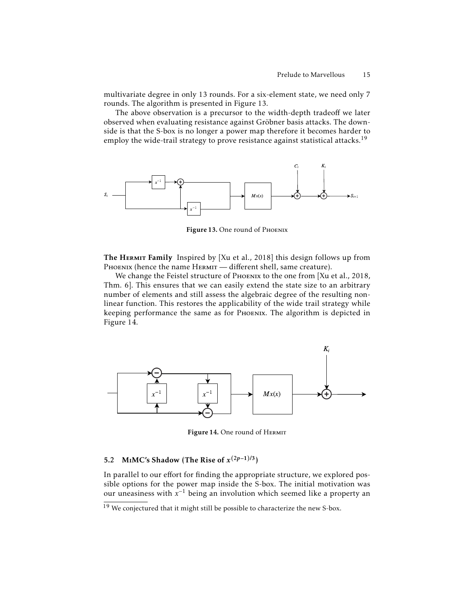multivariate degree in only 13 rounds. For a six-element state, we need only 7 rounds. The algorithm is presented in Figure 13.

The above observation is a precursor to the width-depth tradeoff we later observed when evaluating resistance against Gröbner basis attacks. The downside is that the S-box is no longer a power map therefore it becomes harder to employ the wide-trail strategy to prove resistance against statistical attacks.<sup>19</sup>



Figure 13. One round of Phoenix

The HERMIT Family Inspired by [Xu et al., 2018] this design follows up from PHOENIX (hence the name HERMIT - different shell, same creature).

We change the Feistel structure of PHOENIX to the one from [Xu et al., 2018, Thm. 6]. This ensures that we can easily extend the state size to an arbitrary number of elements and still assess the algebraic degree of the resulting nonlinear function. This restores the applicability of the wide trail strategy while keeping performance the same as for Phoenix. The algorithm is depicted in Figure 14.



Figure 14. One round of HERMIT

# 5.2 MIMC's Shadow (The Rise of  $x^{(2p-1)/3}$ )

In parallel to our effort for finding the appropriate structure, we explored possible options for the power map inside the S-box. The initial motivation was our uneasiness with *x* <sup>−</sup><sup>1</sup> being an involution which seemed like a property an

 $19$  We conjectured that it might still be possible to characterize the new S-box.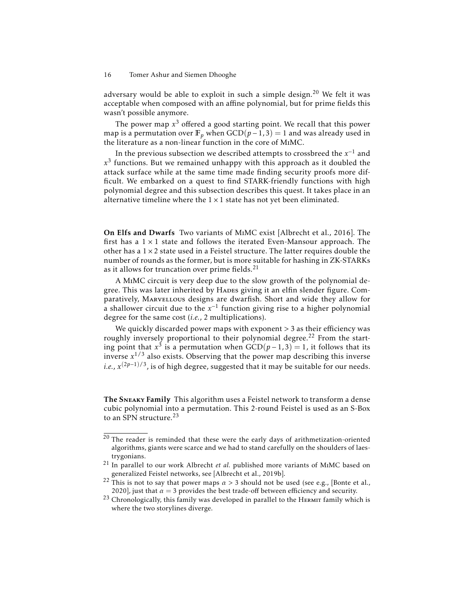adversary would be able to exploit in such a simple design.<sup>20</sup> We felt it was acceptable when composed with an affine polynomial, but for prime fields this wasn't possible anymore.

The power map *x* <sup>3</sup> offered a good starting point. We recall that this power map is a permutation over  $\mathbb{F}_p$  when  $GCD(p-1, 3) = 1$  and was already used in the literature as a non-linear function in the core of MiMC.

In the previous subsection we described attempts to crossbreed the  $x^{-1}$  and *x* 3 functions. But we remained unhappy with this approach as it doubled the attack surface while at the same time made finding security proofs more difficult. We embarked on a quest to find STARK-friendly functions with high polynomial degree and this subsection describes this quest. It takes place in an alternative timeline where the  $1 \times 1$  state has not yet been eliminated.

On Elfs and Dwarfs Two variants of MiMC exist [Albrecht et al., 2016]. The first has a  $1 \times 1$  state and follows the iterated Even-Mansour approach. The other has a  $1 \times 2$  state used in a Feistel structure. The latter requires double the number of rounds as the former, but is more suitable for hashing in ZK-STARKs as it allows for truncation over prime fields.<sup>21</sup>

A MiMC circuit is very deep due to the slow growth of the polynomial degree. This was later inherited by HADES giving it an elfin slender figure. Comparatively, MARVELLOUS designs are dwarfish. Short and wide they allow for a shallower circuit due to the *x* −1 function giving rise to a higher polynomial degree for the same cost (*i.e.*, 2 multiplications).

We quickly discarded power maps with exponent *>* 3 as their efficiency was roughly inversely proportional to their polynomial degree.<sup>22</sup> From the starting point that  $x^3$  is a permutation when  $GCD(p-1,3) = 1$ , it follows that its inverse *x* <sup>1</sup>/<sup>3</sup> also exists. Observing that the power map describing this inverse *i.e.*, *x*<sup>(2*p*-1)/3</sup>, is of high degree, suggested that it may be suitable for our needs.

The Sneaky Family This algorithm uses a Feistel network to transform a dense cubic polynomial into a permutation. This 2-round Feistel is used as an S-Box to an SPN structure.<sup>23</sup>

 $20$  The reader is reminded that these were the early days of arithmetization-oriented algorithms, giants were scarce and we had to stand carefully on the shoulders of laestrygonians.

<sup>21</sup> In parallel to our work Albrecht *et al.* published more variants of MiMC based on generalized Feistel networks, see [Albrecht et al., 2019b].

<sup>&</sup>lt;sup>22</sup> This is not to say that power maps  $\alpha > 3$  should not be used (see e.g., [Bonte et al., 2020], just that  $\alpha = 3$  provides the best trade-off between efficiency and security.

 $23$  Chronologically, this family was developed in parallel to the HERMIT family which is where the two storylines diverge.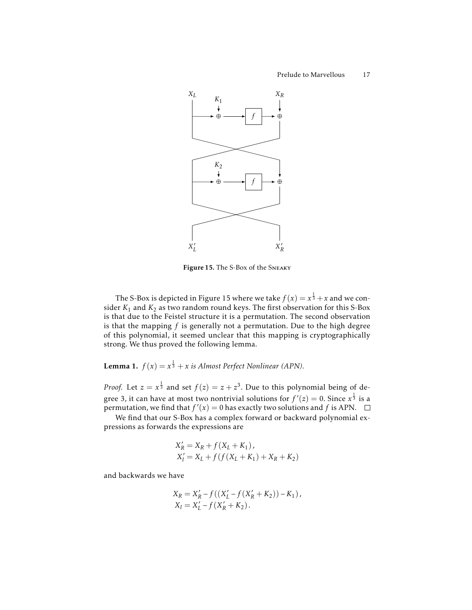

Figure 15. The S-Box of the Sneaky

The S-Box is depicted in Figure 15 where we take  $f(x) = x^{\frac{1}{3}} + x$  and we consider  $K_1$  and  $K_2$  as two random round keys. The first observation for this S-Box is that due to the Feistel structure it is a permutation. The second observation is that the mapping *f* is generally not a permutation. Due to the high degree of this polynomial, it seemed unclear that this mapping is cryptographically strong. We thus proved the following lemma.

**Lemma 1.**  $f(x) = x^{\frac{1}{3}} + x$  *is Almost Perfect Nonlinear (APN).* 

*Proof.* Let  $z = x^{\frac{1}{3}}$  and set  $f(z) = z + z^3$ . Due to this polynomial being of degree 3, it can have at most two nontrivial solutions for  $f'(z) = 0.$  Since  $x^{\frac{1}{3}}$  is a permutation, we find that  $f'(x) = 0$  has exactly two solutions and  $f$  is APN.

We find that our S-Box has a complex forward or backward polynomial expressions as forwards the expressions are

$$
X'_{R} = X_{R} + f(X_{L} + K_{1}),
$$
  
\n
$$
X'_{l} = X_{L} + f(f(X_{L} + K_{1}) + X_{R} + K_{2})
$$

and backwards we have

$$
X_R = X'_R - f((X'_L - f(X'_R + K_2)) - K_1),
$$
  
\n
$$
X_l = X'_L - f(X'_R + K_2).
$$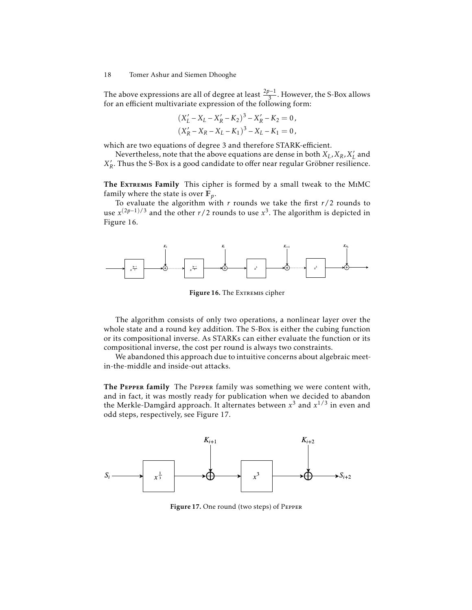The above expressions are all of degree at least  $\frac{2p-1}{3}$ . However, the S-Box allows for an efficient multivariate expression of the following form:

$$
(X'_L - X_L - X'_R - K_2)^3 - X'_R - K_2 = 0,
$$
  

$$
(X'_R - X_R - X_L - K_1)^3 - X_L - K_1 = 0,
$$

which are two equations of degree 3 and therefore STARK-efficient.

Nevertheless, note that the above equations are dense in both  $X_L, X_R, X'_R$  $_L'$  and  $X'_l$ *R* . Thus the S-Box is a good candidate to offer near regular Gröbner resilience.

The Extremis Family This cipher is formed by a small tweak to the MIMC family where the state is over  $\mathbb{F}_p$ .

To evaluate the algorithm with *r* rounds we take the first *r*/2 rounds to use  $x^{(2p-1)/3}$  and the other *r*/2 rounds to use  $x^3$ . The algorithm is depicted in Figure 16.



Figure 16. The EXTREMIS cipher

The algorithm consists of only two operations, a nonlinear layer over the whole state and a round key addition. The S-Box is either the cubing function or its compositional inverse. As STARKs can either evaluate the function or its compositional inverse, the cost per round is always two constraints.

We abandoned this approach due to intuitive concerns about algebraic meetin-the-middle and inside-out attacks.

The Pepper family The Pepper family was something we were content with, and in fact, it was mostly ready for publication when we decided to abandon the Merkle-Damgård approach. It alternates between *x* <sup>3</sup> and *x* 1/3 in even and odd steps, respectively, see Figure 17.



Figure 17. One round (two steps) of Pepper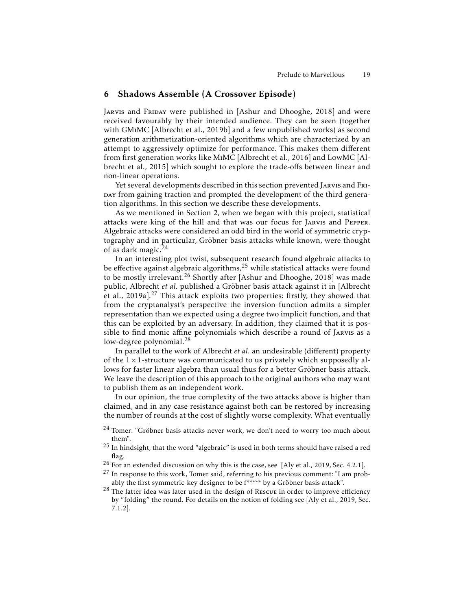## 6 Shadows Assemble (A Crossover Episode)

Jarvis and Friday were published in [Ashur and Dhooghe, 2018] and were received favourably by their intended audience. They can be seen (together with GMiMC [Albrecht et al., 2019b] and a few unpublished works) as second generation arithmetization-oriented algorithms which are characterized by an attempt to aggressively optimize for performance. This makes them different from first generation works like MiMC [Albrecht et al., 2016] and LowMC [Albrecht et al., 2015] which sought to explore the trade-offs between linear and non-linear operations.

Yet several developments described in this section prevented JARVIS and FRI-DAY from gaining traction and prompted the development of the third generation algorithms. In this section we describe these developments.

As we mentioned in Section 2, when we began with this project, statistical attacks were king of the hill and that was our focus for Jarvis and Pepper. Algebraic attacks were considered an odd bird in the world of symmetric cryptography and in particular, Gröbner basis attacks while known, were thought of as dark magic.<sup>24</sup>

In an interesting plot twist, subsequent research found algebraic attacks to be effective against algebraic algorithms, $25$  while statistical attacks were found to be mostly irrelevant.<sup>26</sup> Shortly after [Ashur and Dhooghe, 2018] was made public, Albrecht *et al.* published a Gröbner basis attack against it in [Albrecht et al., 2019a].<sup>27</sup> This attack exploits two properties: firstly, they showed that from the cryptanalyst's perspective the inversion function admits a simpler representation than we expected using a degree two implicit function, and that this can be exploited by an adversary. In addition, they claimed that it is possible to find monic affine polynomials which describe a round of Jarvis as a low-degree polynomial.<sup>28</sup>

In parallel to the work of Albrecht *et al.* an undesirable (different) property of the  $1 \times 1$ -structure was communicated to us privately which supposedly allows for faster linear algebra than usual thus for a better Gröbner basis attack. We leave the description of this approach to the original authors who may want to publish them as an independent work.

In our opinion, the true complexity of the two attacks above is higher than claimed, and in any case resistance against both can be restored by increasing the number of rounds at the cost of slightly worse complexity. What eventually

<sup>&</sup>lt;sup>24</sup> Tomer: "Gröbner basis attacks never work, we don't need to worry too much about them".

<sup>25</sup> In hindsight, that the word "algebraic" is used in both terms should have raised a red flag.

<sup>&</sup>lt;sup>26</sup> For an extended discussion on why this is the case, see [Aly et al., 2019, Sec. 4.2.1].

<sup>&</sup>lt;sup>27</sup> In response to this work, Tomer said, referring to his previous comment: "I am probably the first symmetric-key designer to be f\*\*\*\*\* by a Gröbner basis attack".

<sup>&</sup>lt;sup>28</sup> The latter idea was later used in the design of Rescue in order to improve efficiency by "folding" the round. For details on the notion of folding see [Aly et al., 2019, Sec. 7.1.2].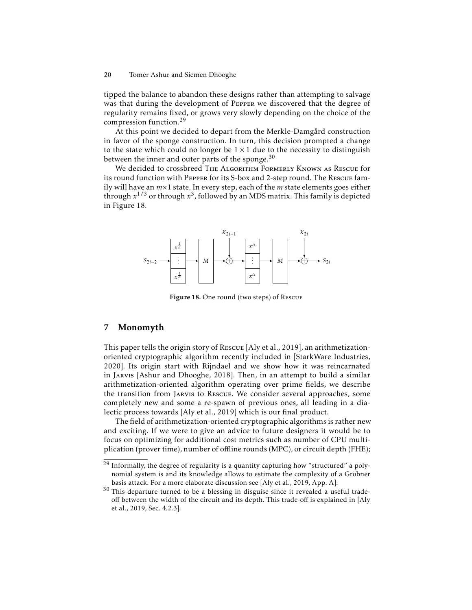tipped the balance to abandon these designs rather than attempting to salvage was that during the development of Pepper we discovered that the degree of regularity remains fixed, or grows very slowly depending on the choice of the compression function.<sup>29</sup>

At this point we decided to depart from the Merkle-Damgård construction in favor of the sponge construction. In turn, this decision prompted a change to the state which could no longer be  $1 \times 1$  due to the necessity to distinguish between the inner and outer parts of the sponge. $30$ 

We decided to crossbreed THE ALGORITHM FORMERLY KNOWN AS RESCUE for its round function with Pepper for its S-box and 2-step round. The Rescue family will have an *m*×1 state. In every step, each of the *m* state elements goes either through *x* <sup>1</sup>/<sup>3</sup> or through *x* 3 , followed by an MDS matrix. This family is depicted in Figure 18.



Figure 18. One round (two steps) of Rescue

## 7 Monomyth

This paper tells the origin story of Rescue [Aly et al., 2019], an arithmetizationoriented cryptographic algorithm recently included in [StarkWare Industries, 2020]. Its origin start with Rijndael and we show how it was reincarnated in Jarvis [Ashur and Dhooghe, 2018]. Then, in an attempt to build a similar arithmetization-oriented algorithm operating over prime fields, we describe the transition from Jarvis to Rescue. We consider several approaches, some completely new and some a re-spawn of previous ones, all leading in a dialectic process towards [Aly et al., 2019] which is our final product.

The field of arithmetization-oriented cryptographic algorithms is rather new and exciting. If we were to give an advice to future designers it would be to focus on optimizing for additional cost metrics such as number of CPU multiplication (prover time), number of offline rounds (MPC), or circuit depth (FHE);

 $29$  Informally, the degree of regularity is a quantity capturing how "structured" a polynomial system is and its knowledge allows to estimate the complexity of a Gröbner basis attack. For a more elaborate discussion see [Aly et al., 2019, App. A].

 $30$  This departure turned to be a blessing in disguise since it revealed a useful tradeoff between the width of the circuit and its depth. This trade-off is explained in [Aly et al., 2019, Sec. 4.2.3].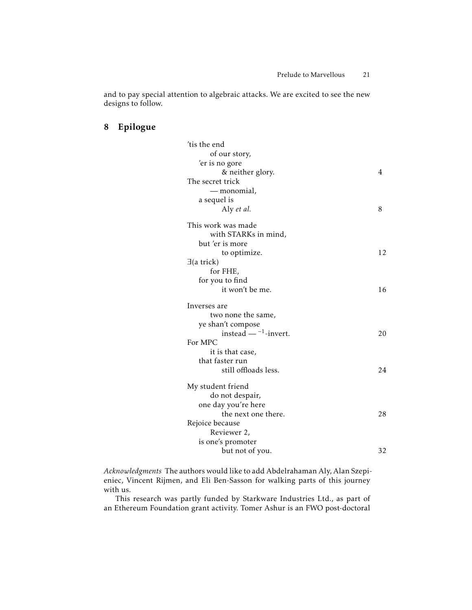and to pay special attention to algebraic attacks. We are excited to see the new designs to follow.

# 8 Epilogue

| 'tis the end                       |    |
|------------------------------------|----|
| of our story,                      |    |
| 'er is no gore                     |    |
| & neither glory.                   | 4  |
| The secret trick                   |    |
| — monomial,                        |    |
| a sequel is                        |    |
| Aly et al.                         | 8  |
| This work was made                 |    |
| with STARKs in mind,               |    |
| but 'er is more                    |    |
| to optimize.                       | 12 |
| $\exists$ (a trick)                |    |
| for FHE,                           |    |
| for you to find                    |    |
| it won't be me.                    | 16 |
| Inverses are                       |    |
| two none the same,                 |    |
| ye shan't compose                  |    |
| instead $-$ <sup>-1</sup> -invert. | 20 |
| For MPC                            |    |
| it is that case,                   |    |
| that faster run                    |    |
| still offloads less.               | 24 |
| My student friend                  |    |
| do not despair,                    |    |
| one day you're here                |    |
| the next one there.                | 28 |
| Rejoice because                    |    |
| Reviewer 2,                        |    |
| is one's promoter                  |    |
| but not of you.                    | 32 |

*Acknowledgments* The authors would like to add Abdelrahaman Aly, Alan Szepieniec, Vincent Rijmen, and Eli Ben-Sasson for walking parts of this journey with us.

This research was partly funded by Starkware Industries Ltd., as part of an Ethereum Foundation grant activity. Tomer Ashur is an FWO post-doctoral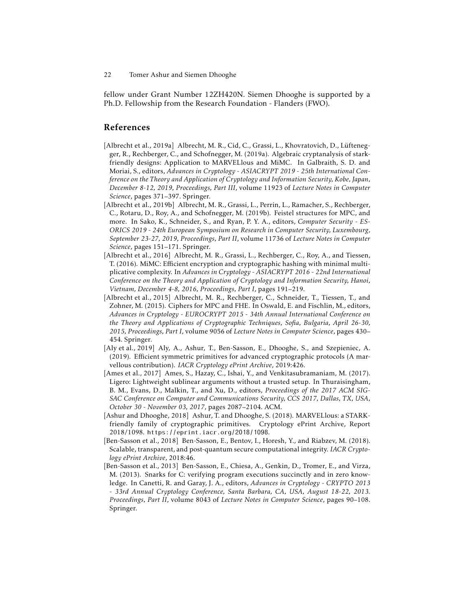fellow under Grant Number 12ZH420N. Siemen Dhooghe is supported by a Ph.D. Fellowship from the Research Foundation - Flanders (FWO).

## References

- [Albrecht et al., 2019a] Albrecht, M. R., Cid, C., Grassi, L., Khovratovich, D., Lüftenegger, R., Rechberger, C., and Schofnegger, M. (2019a). Algebraic cryptanalysis of starkfriendly designs: Application to MARVELlous and MiMC. In Galbraith, S. D. and Moriai, S., editors, *Advances in Cryptology - ASIACRYPT 2019 - 25th International Conference on the Theory and Application of Cryptology and Information Security, Kobe, Japan, December 8-12, 2019, Proceedings, Part III*, volume 11923 of *Lecture Notes in Computer Science*, pages 371–397. Springer.
- [Albrecht et al., 2019b] Albrecht, M. R., Grassi, L., Perrin, L., Ramacher, S., Rechberger, C., Rotaru, D., Roy, A., and Schofnegger, M. (2019b). Feistel structures for MPC, and more. In Sako, K., Schneider, S., and Ryan, P. Y. A., editors, *Computer Security - ES-ORICS 2019 - 24th European Symposium on Research in Computer Security, Luxembourg, September 23-27, 2019, Proceedings, Part II*, volume 11736 of *Lecture Notes in Computer Science*, pages 151–171. Springer.
- [Albrecht et al., 2016] Albrecht, M. R., Grassi, L., Rechberger, C., Roy, A., and Tiessen, T. (2016). MiMC: Efficient encryption and cryptographic hashing with minimal multiplicative complexity. In *Advances in Cryptology - ASIACRYPT 2016 - 22nd International Conference on the Theory and Application of Cryptology and Information Security, Hanoi, Vietnam, December 4-8, 2016, Proceedings, Part I*, pages 191–219.
- [Albrecht et al., 2015] Albrecht, M. R., Rechberger, C., Schneider, T., Tiessen, T., and Zohner, M. (2015). Ciphers for MPC and FHE. In Oswald, E. and Fischlin, M., editors, *Advances in Cryptology - EUROCRYPT 2015 - 34th Annual International Conference on the Theory and Applications of Cryptographic Techniques, Sofia, Bulgaria, April 26-30, 2015, Proceedings, Part I*, volume 9056 of *Lecture Notes in Computer Science*, pages 430– 454. Springer.
- [Aly et al., 2019] Aly, A., Ashur, T., Ben-Sasson, E., Dhooghe, S., and Szepieniec, A. (2019). Efficient symmetric primitives for advanced cryptographic protocols (A marvellous contribution). *IACR Cryptology ePrint Archive*, 2019:426.
- [Ames et al., 2017] Ames, S., Hazay, C., Ishai, Y., and Venkitasubramaniam, M. (2017). Ligero: Lightweight sublinear arguments without a trusted setup. In Thuraisingham, B. M., Evans, D., Malkin, T., and Xu, D., editors, *Proceedings of the 2017 ACM SIG-SAC Conference on Computer and Communications Security, CCS 2017, Dallas, TX, USA, October 30 - November 03, 2017*, pages 2087–2104. ACM.
- [Ashur and Dhooghe, 2018] Ashur, T. and Dhooghe, S. (2018). MARVELlous: a STARKfriendly family of cryptographic primitives. Cryptology ePrint Archive, Report 2018/1098. https://eprint.iacr.org/2018/1098.
- [Ben-Sasson et al., 2018] Ben-Sasson, E., Bentov, I., Horesh, Y., and Riabzev, M. (2018). Scalable, transparent, and post-quantum secure computational integrity. *IACR Cryptology ePrint Archive*, 2018:46.
- [Ben-Sasson et al., 2013] Ben-Sasson, E., Chiesa, A., Genkin, D., Tromer, E., and Virza, M. (2013). Snarks for C: verifying program executions succinctly and in zero knowledge. In Canetti, R. and Garay, J. A., editors, *Advances in Cryptology - CRYPTO 2013 - 33rd Annual Cryptology Conference, Santa Barbara, CA, USA, August 18-22, 2013. Proceedings, Part II*, volume 8043 of *Lecture Notes in Computer Science*, pages 90–108. Springer.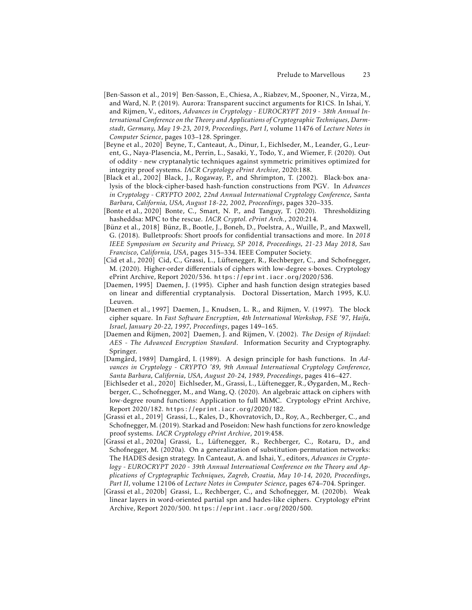- [Ben-Sasson et al., 2019] Ben-Sasson, E., Chiesa, A., Riabzev, M., Spooner, N., Virza, M., and Ward, N. P. (2019). Aurora: Transparent succinct arguments for R1CS. In Ishai, Y. and Rijmen, V., editors, *Advances in Cryptology - EUROCRYPT 2019 - 38th Annual International Conference on the Theory and Applications of Cryptographic Techniques, Darmstadt, Germany, May 19-23, 2019, Proceedings, Part I*, volume 11476 of *Lecture Notes in Computer Science*, pages 103–128. Springer.
- [Beyne et al., 2020] Beyne, T., Canteaut, A., Dinur, I., Eichlseder, M., Leander, G., Leurent, G., Naya-Plasencia, M., Perrin, L., Sasaki, Y., Todo, Y., and Wiemer, F. (2020). Out of oddity - new cryptanalytic techniques against symmetric primitives optimized for integrity proof systems. *IACR Cryptology ePrint Archive*, 2020:188.
- [Black et al., 2002] Black, J., Rogaway, P., and Shrimpton, T. (2002). Black-box analysis of the block-cipher-based hash-function constructions from PGV. In *Advances in Cryptology - CRYPTO 2002, 22nd Annual International Cryptology Conference, Santa Barbara, California, USA, August 18-22, 2002, Proceedings*, pages 320–335.
- [Bonte et al., 2020] Bonte, C., Smart, N. P., and Tanguy, T. (2020). Thresholdizing hasheddsa: MPC to the rescue. *IACR Cryptol. ePrint Arch.*, 2020:214.
- [Bünz et al., 2018] Bünz, B., Bootle, J., Boneh, D., Poelstra, A., Wuille, P., and Maxwell, G. (2018). Bulletproofs: Short proofs for confidential transactions and more. In *2018 IEEE Symposium on Security and Privacy, SP 2018, Proceedings, 21-23 May 2018, San Francisco, California, USA*, pages 315–334. IEEE Computer Society.
- [Cid et al., 2020] Cid, C., Grassi, L., Lüftenegger, R., Rechberger, C., and Schofnegger, M. (2020). Higher-order differentials of ciphers with low-degree s-boxes. Cryptology ePrint Archive, Report 2020/536. https://eprint.iacr.org/2020/536.
- [Daemen, 1995] Daemen, J. (1995). Cipher and hash function design strategies based on linear and differential cryptanalysis. Doctoral Dissertation, March 1995, K.U. Leuven.
- [Daemen et al., 1997] Daemen, J., Knudsen, L. R., and Rijmen, V. (1997). The block cipher square. In *Fast Software Encryption, 4th International Workshop, FSE '97, Haifa, Israel, January 20-22, 1997, Proceedings*, pages 149–165.
- [Daemen and Rijmen, 2002] Daemen, J. and Rijmen, V. (2002). *The Design of Rijndael: AES - The Advanced Encryption Standard*. Information Security and Cryptography. Springer.
- [Damgård, 1989] Damgård, I. (1989). A design principle for hash functions. In *Advances in Cryptology - CRYPTO '89, 9th Annual International Cryptology Conference, Santa Barbara, California, USA, August 20-24, 1989, Proceedings*, pages 416–427.
- [Eichlseder et al., 2020] Eichlseder, M., Grassi, L., Lüftenegger, R., Øygarden, M., Rechberger, C., Schofnegger, M., and Wang, Q. (2020). An algebraic attack on ciphers with low-degree round functions: Application to full MiMC. Cryptology ePrint Archive, Report 2020/182. https://eprint.iacr.org/2020/182.
- [Grassi et al., 2019] Grassi, L., Kales, D., Khovratovich, D., Roy, A., Rechberger, C., and Schofnegger, M. (2019). Starkad and Poseidon: New hash functions for zero knowledge proof systems. *IACR Cryptology ePrint Archive*, 2019:458.
- [Grassi et al., 2020a] Grassi, L., Lüftenegger, R., Rechberger, C., Rotaru, D., and Schofnegger, M. (2020a). On a generalization of substitution-permutation networks: The HADES design strategy. In Canteaut, A. and Ishai, Y., editors, *Advances in Cryptology - EUROCRYPT 2020 - 39th Annual International Conference on the Theory and Applications of Cryptographic Techniques, Zagreb, Croatia, May 10-14, 2020, Proceedings, Part II*, volume 12106 of *Lecture Notes in Computer Science*, pages 674–704. Springer.
- [Grassi et al., 2020b] Grassi, L., Rechberger, C., and Schofnegger, M. (2020b). Weak linear layers in word-oriented partial spn and hades-like ciphers. Cryptology ePrint Archive, Report 2020/500. https://eprint.iacr.org/2020/500.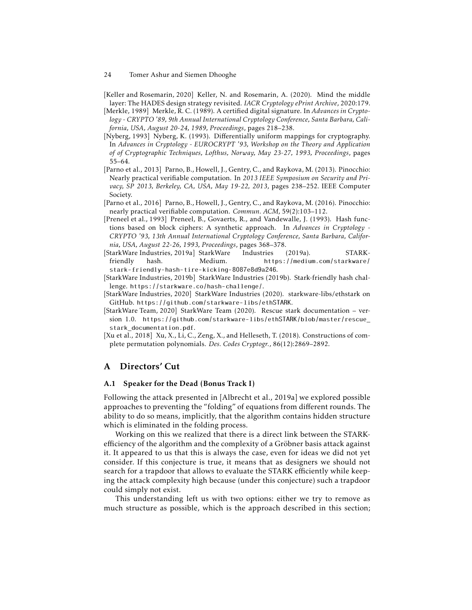- 24 Tomer Ashur and Siemen Dhooghe
- [Keller and Rosemarin, 2020] Keller, N. and Rosemarin, A. (2020). Mind the middle layer: The HADES design strategy revisited. *IACR Cryptology ePrint Archive*, 2020:179.
- [Merkle, 1989] Merkle, R. C. (1989). A certified digital signature. In *Advances in Cryptology - CRYPTO '89, 9th Annual International Cryptology Conference, Santa Barbara, California, USA, August 20-24, 1989, Proceedings*, pages 218–238.
- [Nyberg, 1993] Nyberg, K. (1993). Differentially uniform mappings for cryptography. In *Advances in Cryptology - EUROCRYPT '93, Workshop on the Theory and Application of of Cryptographic Techniques, Lofthus, Norway, May 23-27, 1993, Proceedings*, pages 55–64.
- [Parno et al., 2013] Parno, B., Howell, J., Gentry, C., and Raykova, M. (2013). Pinocchio: Nearly practical verifiable computation. In *2013 IEEE Symposium on Security and Privacy, SP 2013, Berkeley, CA, USA, May 19-22, 2013*, pages 238–252. IEEE Computer Society.
- [Parno et al., 2016] Parno, B., Howell, J., Gentry, C., and Raykova, M. (2016). Pinocchio: nearly practical verifiable computation. *Commun. ACM*, 59(2):103–112.
- [Preneel et al., 1993] Preneel, B., Govaerts, R., and Vandewalle, J. (1993). Hash functions based on block ciphers: A synthetic approach. In *Advances in Cryptology - CRYPTO '93, 13th Annual International Cryptology Conference, Santa Barbara, California, USA, August 22-26, 1993, Proceedings*, pages 368–378.
- [StarkWare Industries, 2019a] StarkWare Industries (2019a). STARKfriendly hash. Medium. https://medium.com/starkware/ stark-friendly-hash-tire-kicking-8087e8d9a246.
- [StarkWare Industries, 2019b] StarkWare Industries (2019b). Stark-friendly hash challenge. https://starkware.co/hash-challenge/.
- [StarkWare Industries, 2020] StarkWare Industries (2020). starkware-libs/ethstark on GitHub. https://github.com/starkware-libs/ethSTARK.
- [StarkWare Team, 2020] StarkWare Team (2020). Rescue stark documentation version 1.0. https://github.com/starkware-libs/ethSTARK/blob/master/rescue\_ stark documentation.pdf.
- [Xu et al., 2018] Xu, X., Li, C., Zeng, X., and Helleseth, T. (2018). Constructions of complete permutation polynomials. *Des. Codes Cryptogr.*, 86(12):2869–2892.

# A Directors' Cut

### A.1 Speaker for the Dead (Bonus Track I)

Following the attack presented in [Albrecht et al., 2019a] we explored possible approaches to preventing the "folding" of equations from different rounds. The ability to do so means, implicitly, that the algorithm contains hidden structure which is eliminated in the folding process.

Working on this we realized that there is a direct link between the STARKefficiency of the algorithm and the complexity of a Gröbner basis attack against it. It appeared to us that this is always the case, even for ideas we did not yet consider. If this conjecture is true, it means that as designers we should not search for a trapdoor that allows to evaluate the STARK efficiently while keeping the attack complexity high because (under this conjecture) such a trapdoor could simply not exist.

This understanding left us with two options: either we try to remove as much structure as possible, which is the approach described in this section;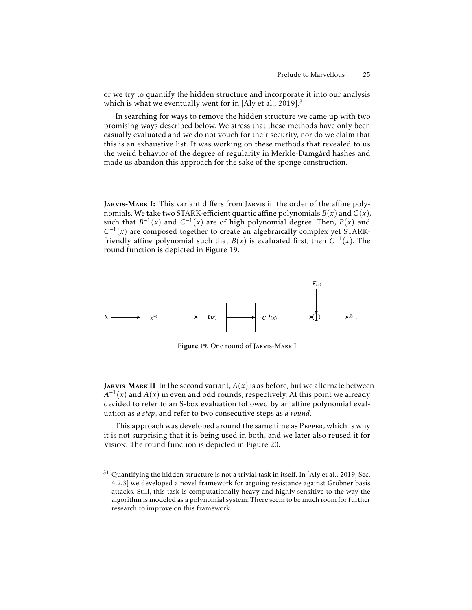or we try to quantify the hidden structure and incorporate it into our analysis which is what we eventually went for in [Aly et al., 2019].<sup>31</sup>

In searching for ways to remove the hidden structure we came up with two promising ways described below. We stress that these methods have only been casually evaluated and we do not vouch for their security, nor do we claim that this is an exhaustive list. It was working on these methods that revealed to us the weird behavior of the degree of regularity in Merkle-Damgård hashes and made us abandon this approach for the sake of the sponge construction.

JARVIS-MARK I: This variant differs from JARVIS in the order of the affine polynomials. We take two STARK-efficient quartic affine polynomials  $B(x)$  and  $C(x)$ , such that  $B^{-1}(x)$  and  $C^{-1}(x)$  are of high polynomial degree. Then,  $B(x)$  and  $C^{-1}(x)$  are composed together to create an algebraically complex yet STARKfriendly affine polynomial such that  $B(x)$  is evaluated first, then  $C^{-1}(x)$ . The round function is depicted in Figure 19.



Figure 19. One round of Jarvis-Mark I

**JARVIS-MARK II** In the second variant,  $A(x)$  is as before, but we alternate between  $A^{-1}(x)$  and  $A(x)$  in even and odd rounds, respectively. At this point we already decided to refer to an S-box evaluation followed by an affine polynomial evaluation as *a step*, and refer to two consecutive steps as *a round*.

This approach was developed around the same time as Pepper, which is why it is not surprising that it is being used in both, and we later also reused it for Vision. The round function is depicted in Figure 20.

 $^{31}$  Quantifying the hidden structure is not a trivial task in itself. In [Aly et al., 2019, Sec. 4.2.3] we developed a novel framework for arguing resistance against Gröbner basis attacks. Still, this task is computationally heavy and highly sensitive to the way the algorithm is modeled as a polynomial system. There seem to be much room for further research to improve on this framework.